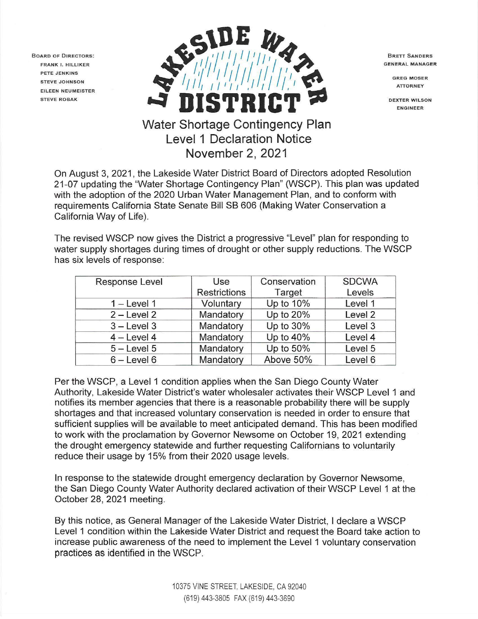BOARD OF DIRECTORS: FRANK I. HILLIKER PETE JENKINS STEVE JOHNSON EILEEN NEUMEISTER STEVE ROBAK



BRETT SANDERS GENERAL MANAGER

> GREG MOSER **ATTORNEY**

DEXTER WILSON **ENGINEER** 

# **November 2, 2021**

On August 3, 2021 , the Lakeside Water District Board of Directors adopted Resolution 21-07 updating the "Water Shortage Contingency Plan" (WSCP). This plan was updated with the adoption of the 2020 Urban Water Management Plan, and to conform with requirements California State Senate Bill SB 606 (Making Water Conservation a California Way of Life).

The revised WSCP now gives the District a progressive "Level" plan for responding to water supply shortages during times of drought or other supply reductions. The WSCP has six levels of response:

| Response Level  | Use                 | Conservation | <b>SDCWA</b> |
|-----------------|---------------------|--------------|--------------|
|                 | <b>Restrictions</b> | Target       | Levels       |
| $1 -$ Level 1   | Voluntary           | Up to 10%    | Level 1      |
| $2 - Level 2$   | Mandatory           | Up to 20%    | Level 2      |
| $3 -$ Level 3   | Mandatory           | Up to 30%    | Level 3      |
| $4 - Level 4$   | Mandatory           | Up to 40%    | Level 4      |
| $5 -$ Level $5$ | Mandatory           | Up to 50%    | Level 5      |
| $6 -$ Level $6$ | Mandatory           | Above 50%    | Level 6      |

Per the WSCP, a Level 1 condition applies when the San Diego County Water Authority, Lakeside Water District's water wholesaler activates their WSCP Level 1 and notifies its member agencies that there is a reasonable probability there will be supply shortages and that increased voluntary conservation is needed in order to ensure that sufficient supplies will be available to meet anticipated demand. This has been modified to work with the proclamation by Governor Newsome on October 19, 2021 extending the drought emergency statewide and further requesting Californians to voluntarily reduce their usage by 15% from their 2020 usage levels.

In response to the statewide drought emergency declaration by Governor Newsome, the San Diego County Water Authority declared activation of their WSCP Level 1 at the October 28, 2021 meeting.

By this notice, as General Manager of the Lakeside Water District, I declare a WSCP Level 1 condition within the Lakeside Water District and request the Board take action to increase public awareness of the need to implement the Level 1 voluntary conservation practices as identified in the WSCP.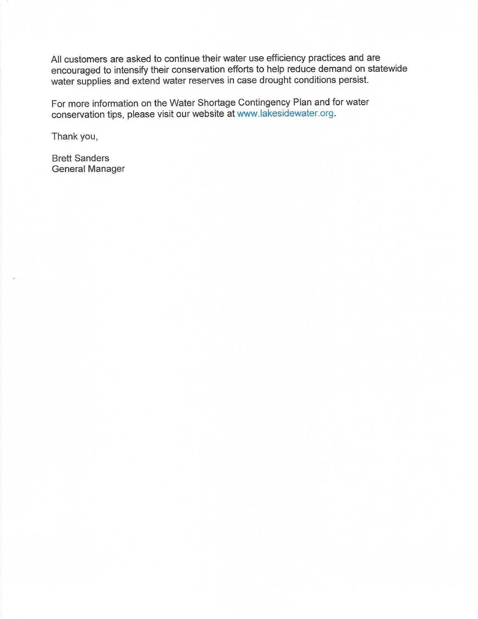All customers are asked to continue their water use efficiency practices and are encouraged to intensify their conservation efforts to help reduce demand on statewide water supplies and extend water reserves in case drought conditions persist.

For more information on the Water Shortage Contingency Plan and for water conservation tips, please visit our website at www.lakesidewater.org.

Thank you,

Brett Sanders General Manager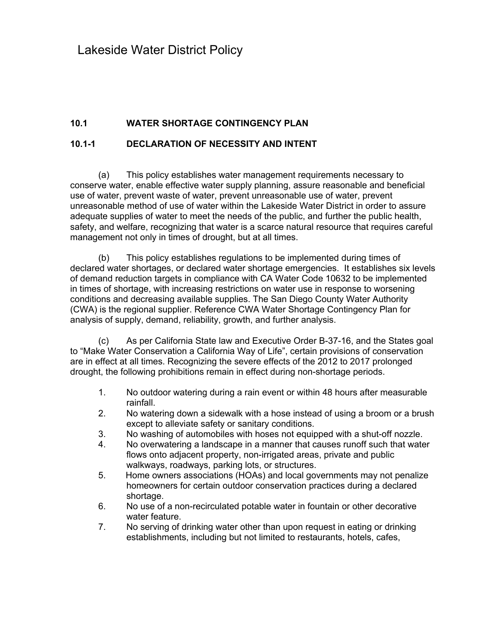Lakeside Water District Policy

# **10.1 WATER SHORTAGE CONTINGENCY PLAN**

## **10.1-1 DECLARATION OF NECESSITY AND INTENT**

(a) This policy establishes water management requirements necessary to conserve water, enable effective water supply planning, assure reasonable and beneficial use of water, prevent waste of water, prevent unreasonable use of water, prevent unreasonable method of use of water within the Lakeside Water District in order to assure adequate supplies of water to meet the needs of the public, and further the public health, safety, and welfare, recognizing that water is a scarce natural resource that requires careful management not only in times of drought, but at all times.

(b) This policy establishes regulations to be implemented during times of declared water shortages, or declared water shortage emergencies. It establishes six levels of demand reduction targets in compliance with CA Water Code 10632 to be implemented in times of shortage, with increasing restrictions on water use in response to worsening conditions and decreasing available supplies. The San Diego County Water Authority (CWA) is the regional supplier. Reference CWA Water Shortage Contingency Plan for analysis of supply, demand, reliability, growth, and further analysis.

(c) As per California State law and Executive Order B-37-16, and the States goal to "Make Water Conservation a California Way of Life", certain provisions of conservation are in effect at all times. Recognizing the severe effects of the 2012 to 2017 prolonged drought, the following prohibitions remain in effect during non-shortage periods.

- 1. No outdoor watering during a rain event or within 48 hours after measurable rainfall.
- 2. No watering down a sidewalk with a hose instead of using a broom or a brush except to alleviate safety or sanitary conditions.
- 3. No washing of automobiles with hoses not equipped with a shut-off nozzle.
- 4. No overwatering a landscape in a manner that causes runoff such that water flows onto adjacent property, non-irrigated areas, private and public walkways, roadways, parking lots, or structures.
- 5. Home owners associations (HOAs) and local governments may not penalize homeowners for certain outdoor conservation practices during a declared shortage.
- 6. No use of a non-recirculated potable water in fountain or other decorative water feature.
- 7. No serving of drinking water other than upon request in eating or drinking establishments, including but not limited to restaurants, hotels, cafes,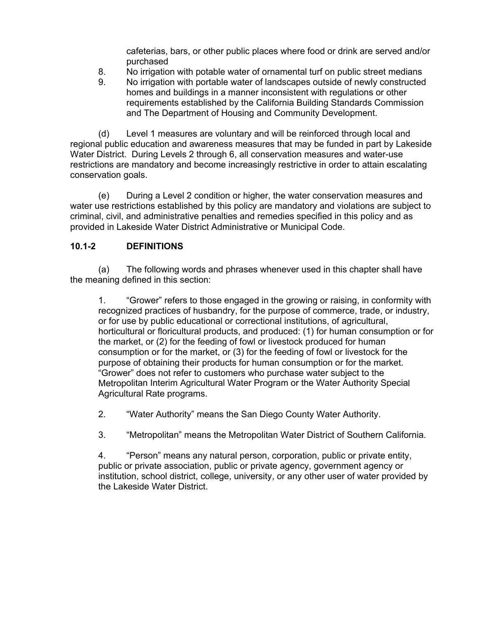cafeterias, bars, or other public places where food or drink are served and/or purchased

- 8. No irrigation with potable water of ornamental turf on public street medians
- 9. No irrigation with portable water of landscapes outside of newly constructed homes and buildings in a manner inconsistent with regulations or other requirements established by the California Building Standards Commission and The Department of Housing and Community Development.

(d) Level 1 measures are voluntary and will be reinforced through local and regional public education and awareness measures that may be funded in part by Lakeside Water District. During Levels 2 through 6, all conservation measures and water-use restrictions are mandatory and become increasingly restrictive in order to attain escalating conservation goals.

(e) During a Level 2 condition or higher, the water conservation measures and water use restrictions established by this policy are mandatory and violations are subject to criminal, civil, and administrative penalties and remedies specified in this policy and as provided in Lakeside Water District Administrative or Municipal Code.

## **10.1-2 DEFINITIONS**

(a) The following words and phrases whenever used in this chapter shall have the meaning defined in this section:

1. "Grower" refers to those engaged in the growing or raising, in conformity with recognized practices of husbandry, for the purpose of commerce, trade, or industry, or for use by public educational or correctional institutions, of agricultural, horticultural or floricultural products, and produced: (1) for human consumption or for the market, or (2) for the feeding of fowl or livestock produced for human consumption or for the market, or (3) for the feeding of fowl or livestock for the purpose of obtaining their products for human consumption or for the market. "Grower" does not refer to customers who purchase water subject to the Metropolitan Interim Agricultural Water Program or the Water Authority Special Agricultural Rate programs.

2. "Water Authority" means the San Diego County Water Authority.

3. "Metropolitan" means the Metropolitan Water District of Southern California.

4. "Person" means any natural person, corporation, public or private entity, public or private association, public or private agency, government agency or institution, school district, college, university, or any other user of water provided by the Lakeside Water District.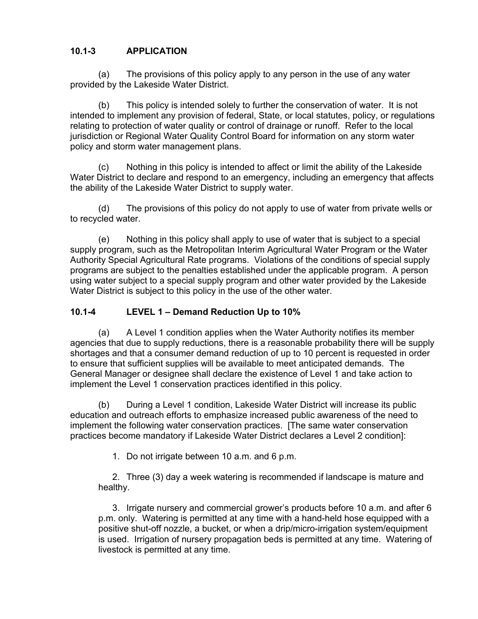## **10.1-3 APPLICATION**

(a) The provisions of this policy apply to any person in the use of any water provided by the Lakeside Water District.

 (b) This policy is intended solely to further the conservation of water. It is not intended to implement any provision of federal, State, or local statutes, policy, or regulations relating to protection of water quality or control of drainage or runoff. Refer to the local jurisdiction or Regional Water Quality Control Board for information on any storm water policy and storm water management plans.

 (c) Nothing in this policy is intended to affect or limit the ability of the Lakeside Water District to declare and respond to an emergency, including an emergency that affects the ability of the Lakeside Water District to supply water.

(d) The provisions of this policy do not apply to use of water from private wells or to recycled water.

(e) Nothing in this policy shall apply to use of water that is subject to a special supply program, such as the Metropolitan Interim Agricultural Water Program or the Water Authority Special Agricultural Rate programs. Violations of the conditions of special supply programs are subject to the penalties established under the applicable program. A person using water subject to a special supply program and other water provided by the Lakeside Water District is subject to this policy in the use of the other water.

## **10.1-4 LEVEL 1 – Demand Reduction Up to 10%**

 (a) A Level 1 condition applies when the Water Authority notifies its member agencies that due to supply reductions, there is a reasonable probability there will be supply shortages and that a consumer demand reduction of up to 10 percent is requested in order to ensure that sufficient supplies will be available to meet anticipated demands. The General Manager or designee shall declare the existence of Level 1 and take action to implement the Level 1 conservation practices identified in this policy.

(b) During a Level 1 condition, Lakeside Water District will increase its public education and outreach efforts to emphasize increased public awareness of the need to implement the following water conservation practices. [The same water conservation practices become mandatory if Lakeside Water District declares a Level 2 condition]:

1. Do not irrigate between 10 a.m. and 6 p.m.

2. Three (3) day a week watering is recommended if landscape is mature and healthy.

3. Irrigate nursery and commercial grower's products before 10 a.m. and after 6 p.m. only. Watering is permitted at any time with a hand-held hose equipped with a positive shut-off nozzle, a bucket, or when a drip/micro-irrigation system/equipment is used. Irrigation of nursery propagation beds is permitted at any time. Watering of livestock is permitted at any time.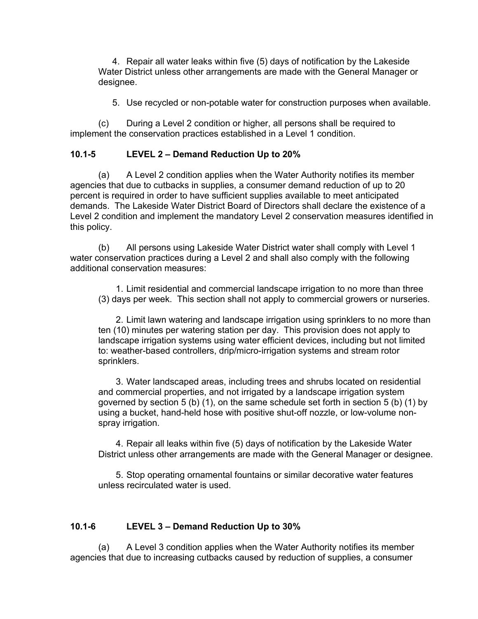4. Repair all water leaks within five (5) days of notification by the Lakeside Water District unless other arrangements are made with the General Manager or designee.

5. Use recycled or non-potable water for construction purposes when available.

 (c) During a Level 2 condition or higher, all persons shall be required to implement the conservation practices established in a Level 1 condition.

#### **10.1-5 LEVEL 2 – Demand Reduction Up to 20%**

 (a) A Level 2 condition applies when the Water Authority notifies its member agencies that due to cutbacks in supplies, a consumer demand reduction of up to 20 percent is required in order to have sufficient supplies available to meet anticipated demands. The Lakeside Water District Board of Directors shall declare the existence of a Level 2 condition and implement the mandatory Level 2 conservation measures identified in this policy.

 (b) All persons using Lakeside Water District water shall comply with Level 1 water conservation practices during a Level 2 and shall also comply with the following additional conservation measures:

1. Limit residential and commercial landscape irrigation to no more than three (3) days per week. This section shall not apply to commercial growers or nurseries.

2. Limit lawn watering and landscape irrigation using sprinklers to no more than ten (10) minutes per watering station per day. This provision does not apply to landscape irrigation systems using water efficient devices, including but not limited to: weather-based controllers, drip/micro-irrigation systems and stream rotor sprinklers.

3. Water landscaped areas, including trees and shrubs located on residential and commercial properties, and not irrigated by a landscape irrigation system governed by section 5 (b) (1), on the same schedule set forth in section 5 (b) (1) by using a bucket, hand-held hose with positive shut-off nozzle, or low-volume nonspray irrigation.

4. Repair all leaks within five (5) days of notification by the Lakeside Water District unless other arrangements are made with the General Manager or designee.

5. Stop operating ornamental fountains or similar decorative water features unless recirculated water is used.

### **10.1-6 LEVEL 3 – Demand Reduction Up to 30%**

 (a) A Level 3 condition applies when the Water Authority notifies its member agencies that due to increasing cutbacks caused by reduction of supplies, a consumer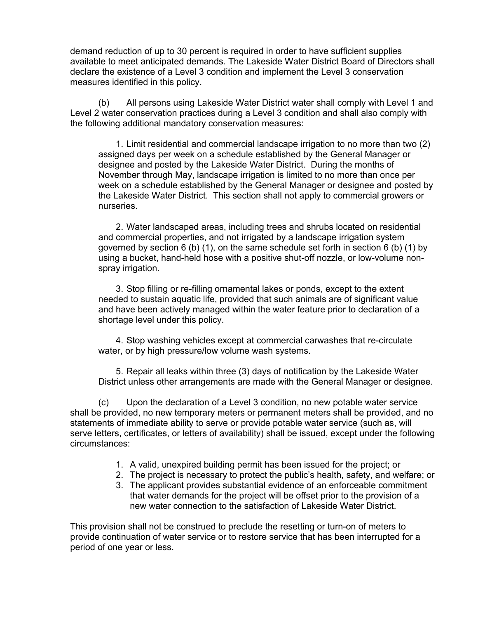demand reduction of up to 30 percent is required in order to have sufficient supplies available to meet anticipated demands. The Lakeside Water District Board of Directors shall declare the existence of a Level 3 condition and implement the Level 3 conservation measures identified in this policy.

(b) All persons using Lakeside Water District water shall comply with Level 1 and Level 2 water conservation practices during a Level 3 condition and shall also comply with the following additional mandatory conservation measures:

1. Limit residential and commercial landscape irrigation to no more than two (2) assigned days per week on a schedule established by the General Manager or designee and posted by the Lakeside Water District. During the months of November through May, landscape irrigation is limited to no more than once per week on a schedule established by the General Manager or designee and posted by the Lakeside Water District. This section shall not apply to commercial growers or nurseries.

2. Water landscaped areas, including trees and shrubs located on residential and commercial properties, and not irrigated by a landscape irrigation system governed by section 6 (b) (1), on the same schedule set forth in section 6 (b) (1) by using a bucket, hand-held hose with a positive shut-off nozzle, or low-volume nonspray irrigation.

3. Stop filling or re-filling ornamental lakes or ponds, except to the extent needed to sustain aquatic life, provided that such animals are of significant value and have been actively managed within the water feature prior to declaration of a shortage level under this policy.

4. Stop washing vehicles except at commercial carwashes that re-circulate water, or by high pressure/low volume wash systems.

5. Repair all leaks within three (3) days of notification by the Lakeside Water District unless other arrangements are made with the General Manager or designee.

(c) Upon the declaration of a Level 3 condition, no new potable water service shall be provided, no new temporary meters or permanent meters shall be provided, and no statements of immediate ability to serve or provide potable water service (such as, will serve letters, certificates, or letters of availability) shall be issued, except under the following circumstances:

- 1. A valid, unexpired building permit has been issued for the project; or
- 2. The project is necessary to protect the public's health, safety, and welfare; or
- 3. The applicant provides substantial evidence of an enforceable commitment that water demands for the project will be offset prior to the provision of a new water connection to the satisfaction of Lakeside Water District.

This provision shall not be construed to preclude the resetting or turn-on of meters to provide continuation of water service or to restore service that has been interrupted for a period of one year or less.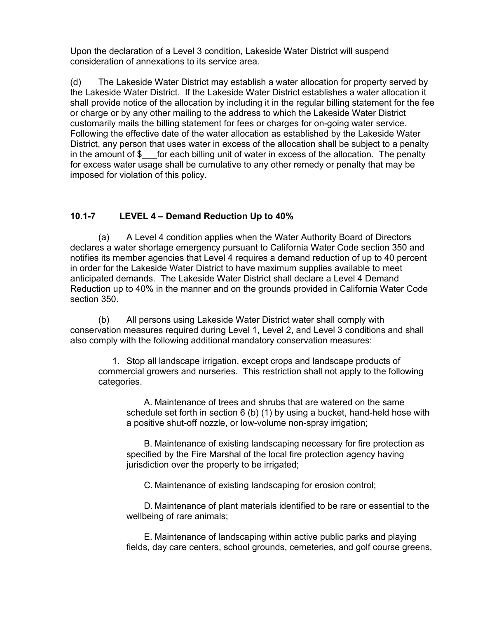Upon the declaration of a Level 3 condition, Lakeside Water District will suspend consideration of annexations to its service area.

(d) The Lakeside Water District may establish a water allocation for property served by the Lakeside Water District. If the Lakeside Water District establishes a water allocation it shall provide notice of the allocation by including it in the regular billing statement for the fee or charge or by any other mailing to the address to which the Lakeside Water District customarily mails the billing statement for fees or charges for on-going water service. Following the effective date of the water allocation as established by the Lakeside Water District, any person that uses water in excess of the allocation shall be subject to a penalty in the amount of \$ for each billing unit of water in excess of the allocation. The penalty for excess water usage shall be cumulative to any other remedy or penalty that may be imposed for violation of this policy.

### **10.1-7 LEVEL 4 – Demand Reduction Up to 40%**

(a) A Level 4 condition applies when the Water Authority Board of Directors declares a water shortage emergency pursuant to California Water Code section 350 and notifies its member agencies that Level 4 requires a demand reduction of up to 40 percent in order for the Lakeside Water District to have maximum supplies available to meet anticipated demands. The Lakeside Water District shall declare a Level 4 Demand Reduction up to 40% in the manner and on the grounds provided in California Water Code section 350.

(b) All persons using Lakeside Water District water shall comply with conservation measures required during Level 1, Level 2, and Level 3 conditions and shall also comply with the following additional mandatory conservation measures:

1. Stop all landscape irrigation, except crops and landscape products of commercial growers and nurseries. This restriction shall not apply to the following categories.

A. Maintenance of trees and shrubs that are watered on the same schedule set forth in section 6 (b) (1) by using a bucket, hand-held hose with a positive shut-off nozzle, or low-volume non-spray irrigation;

B. Maintenance of existing landscaping necessary for fire protection as specified by the Fire Marshal of the local fire protection agency having jurisdiction over the property to be irrigated;

C. Maintenance of existing landscaping for erosion control;

D. Maintenance of plant materials identified to be rare or essential to the wellbeing of rare animals;

E. Maintenance of landscaping within active public parks and playing fields, day care centers, school grounds, cemeteries, and golf course greens,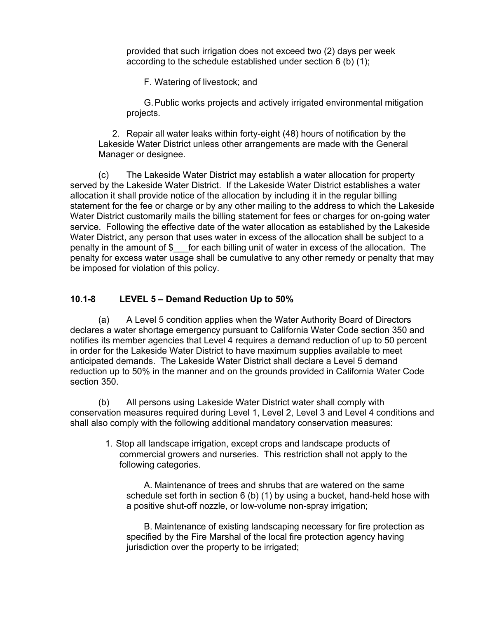provided that such irrigation does not exceed two (2) days per week according to the schedule established under section 6 (b) (1);

F. Watering of livestock; and

G. Public works projects and actively irrigated environmental mitigation projects.

2. Repair all water leaks within forty-eight (48) hours of notification by the Lakeside Water District unless other arrangements are made with the General Manager or designee.

(c) The Lakeside Water District may establish a water allocation for property served by the Lakeside Water District. If the Lakeside Water District establishes a water allocation it shall provide notice of the allocation by including it in the regular billing statement for the fee or charge or by any other mailing to the address to which the Lakeside Water District customarily mails the billing statement for fees or charges for on-going water service. Following the effective date of the water allocation as established by the Lakeside Water District, any person that uses water in excess of the allocation shall be subject to a penalty in the amount of \$\_\_\_for each billing unit of water in excess of the allocation. The penalty for excess water usage shall be cumulative to any other remedy or penalty that may be imposed for violation of this policy.

## **10.1-8 LEVEL 5 – Demand Reduction Up to 50%**

(a) A Level 5 condition applies when the Water Authority Board of Directors declares a water shortage emergency pursuant to California Water Code section 350 and notifies its member agencies that Level 4 requires a demand reduction of up to 50 percent in order for the Lakeside Water District to have maximum supplies available to meet anticipated demands. The Lakeside Water District shall declare a Level 5 demand reduction up to 50% in the manner and on the grounds provided in California Water Code section 350.

(b) All persons using Lakeside Water District water shall comply with conservation measures required during Level 1, Level 2, Level 3 and Level 4 conditions and shall also comply with the following additional mandatory conservation measures:

1. Stop all landscape irrigation, except crops and landscape products of commercial growers and nurseries. This restriction shall not apply to the following categories.

A. Maintenance of trees and shrubs that are watered on the same schedule set forth in section 6 (b) (1) by using a bucket, hand-held hose with a positive shut-off nozzle, or low-volume non-spray irrigation;

B. Maintenance of existing landscaping necessary for fire protection as specified by the Fire Marshal of the local fire protection agency having jurisdiction over the property to be irrigated;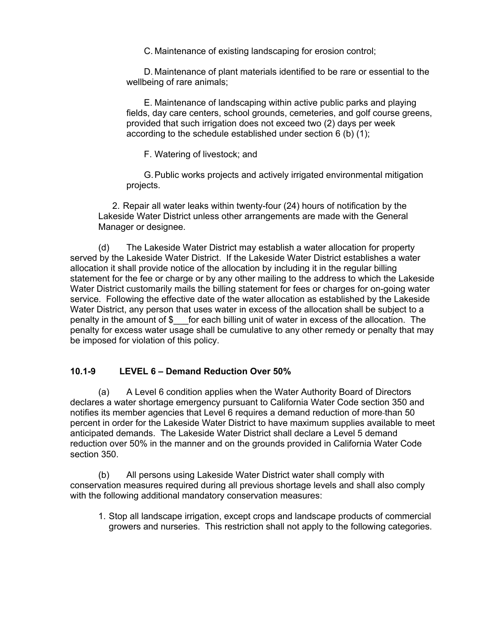C. Maintenance of existing landscaping for erosion control;

D. Maintenance of plant materials identified to be rare or essential to the wellbeing of rare animals;

E. Maintenance of landscaping within active public parks and playing fields, day care centers, school grounds, cemeteries, and golf course greens, provided that such irrigation does not exceed two (2) days per week according to the schedule established under section 6 (b) (1);

F. Watering of livestock; and

G. Public works projects and actively irrigated environmental mitigation projects.

2. Repair all water leaks within twenty-four (24) hours of notification by the Lakeside Water District unless other arrangements are made with the General Manager or designee.

(d) The Lakeside Water District may establish a water allocation for property served by the Lakeside Water District. If the Lakeside Water District establishes a water allocation it shall provide notice of the allocation by including it in the regular billing statement for the fee or charge or by any other mailing to the address to which the Lakeside Water District customarily mails the billing statement for fees or charges for on-going water service. Following the effective date of the water allocation as established by the Lakeside Water District, any person that uses water in excess of the allocation shall be subject to a penalty in the amount of \$\_\_\_for each billing unit of water in excess of the allocation. The penalty for excess water usage shall be cumulative to any other remedy or penalty that may be imposed for violation of this policy.

#### **10.1-9 LEVEL 6 – Demand Reduction Over 50%**

(a) A Level 6 condition applies when the Water Authority Board of Directors declares a water shortage emergency pursuant to California Water Code section 350 and notifies its member agencies that Level 6 requires a demand reduction of more than 50 percent in order for the Lakeside Water District to have maximum supplies available to meet anticipated demands. The Lakeside Water District shall declare a Level 5 demand reduction over 50% in the manner and on the grounds provided in California Water Code section 350.

(b) All persons using Lakeside Water District water shall comply with conservation measures required during all previous shortage levels and shall also comply with the following additional mandatory conservation measures:

1. Stop all landscape irrigation, except crops and landscape products of commercial growers and nurseries. This restriction shall not apply to the following categories.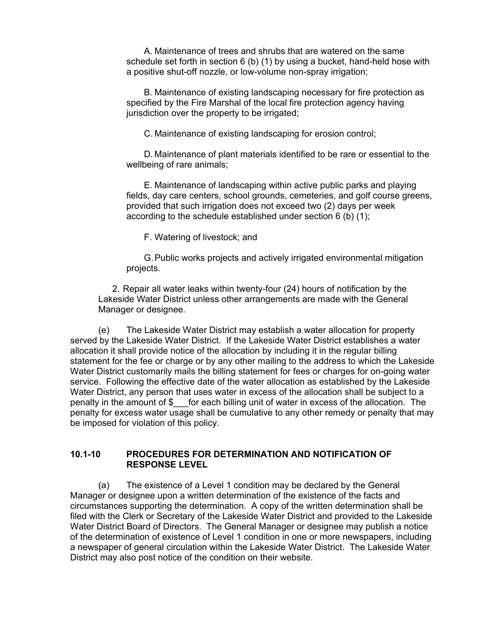A. Maintenance of trees and shrubs that are watered on the same schedule set forth in section 6 (b) (1) by using a bucket, hand-held hose with a positive shut-off nozzle, or low-volume non-spray irrigation;

B. Maintenance of existing landscaping necessary for fire protection as specified by the Fire Marshal of the local fire protection agency having jurisdiction over the property to be irrigated;

C. Maintenance of existing landscaping for erosion control;

D. Maintenance of plant materials identified to be rare or essential to the wellbeing of rare animals;

E. Maintenance of landscaping within active public parks and playing fields, day care centers, school grounds, cemeteries, and golf course greens, provided that such irrigation does not exceed two (2) days per week according to the schedule established under section 6 (b) (1);

F. Watering of livestock; and

G. Public works projects and actively irrigated environmental mitigation projects.

2. Repair all water leaks within twenty-four (24) hours of notification by the Lakeside Water District unless other arrangements are made with the General Manager or designee.

(e) The Lakeside Water District may establish a water allocation for property served by the Lakeside Water District. If the Lakeside Water District establishes a water allocation it shall provide notice of the allocation by including it in the regular billing statement for the fee or charge or by any other mailing to the address to which the Lakeside Water District customarily mails the billing statement for fees or charges for on-going water service. Following the effective date of the water allocation as established by the Lakeside Water District, any person that uses water in excess of the allocation shall be subject to a penalty in the amount of \$\_\_\_for each billing unit of water in excess of the allocation. The penalty for excess water usage shall be cumulative to any other remedy or penalty that may be imposed for violation of this policy.

#### **10.1-10 PROCEDURES FOR DETERMINATION AND NOTIFICATION OF RESPONSE LEVEL**

(a) The existence of a Level 1 condition may be declared by the General Manager or designee upon a written determination of the existence of the facts and circumstances supporting the determination. A copy of the written determination shall be filed with the Clerk or Secretary of the Lakeside Water District and provided to the Lakeside Water District Board of Directors. The General Manager or designee may publish a notice of the determination of existence of Level 1 condition in one or more newspapers, including a newspaper of general circulation within the Lakeside Water District. The Lakeside Water District may also post notice of the condition on their website.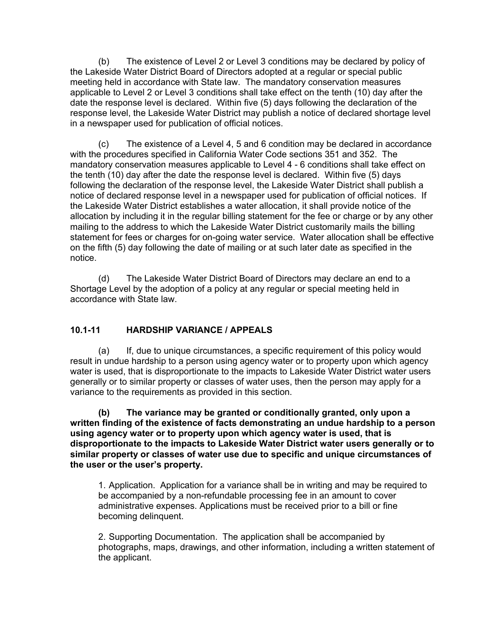(b) The existence of Level 2 or Level 3 conditions may be declared by policy of the Lakeside Water District Board of Directors adopted at a regular or special public meeting held in accordance with State law. The mandatory conservation measures applicable to Level 2 or Level 3 conditions shall take effect on the tenth (10) day after the date the response level is declared. Within five (5) days following the declaration of the response level, the Lakeside Water District may publish a notice of declared shortage level in a newspaper used for publication of official notices.

(c) The existence of a Level 4, 5 and 6 condition may be declared in accordance with the procedures specified in California Water Code sections 351 and 352. The mandatory conservation measures applicable to Level 4 - 6 conditions shall take effect on the tenth (10) day after the date the response level is declared. Within five (5) days following the declaration of the response level, the Lakeside Water District shall publish a notice of declared response level in a newspaper used for publication of official notices. If the Lakeside Water District establishes a water allocation, it shall provide notice of the allocation by including it in the regular billing statement for the fee or charge or by any other mailing to the address to which the Lakeside Water District customarily mails the billing statement for fees or charges for on-going water service. Water allocation shall be effective on the fifth (5) day following the date of mailing or at such later date as specified in the notice.

(d) The Lakeside Water District Board of Directors may declare an end to a Shortage Level by the adoption of a policy at any regular or special meeting held in accordance with State law.

### **10.1-11 HARDSHIP VARIANCE / APPEALS**

(a) If, due to unique circumstances, a specific requirement of this policy would result in undue hardship to a person using agency water or to property upon which agency water is used, that is disproportionate to the impacts to Lakeside Water District water users generally or to similar property or classes of water uses, then the person may apply for a variance to the requirements as provided in this section.

**(b) The variance may be granted or conditionally granted, only upon a written finding of the existence of facts demonstrating an undue hardship to a person using agency water or to property upon which agency water is used, that is disproportionate to the impacts to Lakeside Water District water users generally or to similar property or classes of water use due to specific and unique circumstances of the user or the user's property.** 

1. Application. Application for a variance shall be in writing and may be required to be accompanied by a non-refundable processing fee in an amount to cover administrative expenses. Applications must be received prior to a bill or fine becoming delinquent.

2. Supporting Documentation. The application shall be accompanied by photographs, maps, drawings, and other information, including a written statement of the applicant.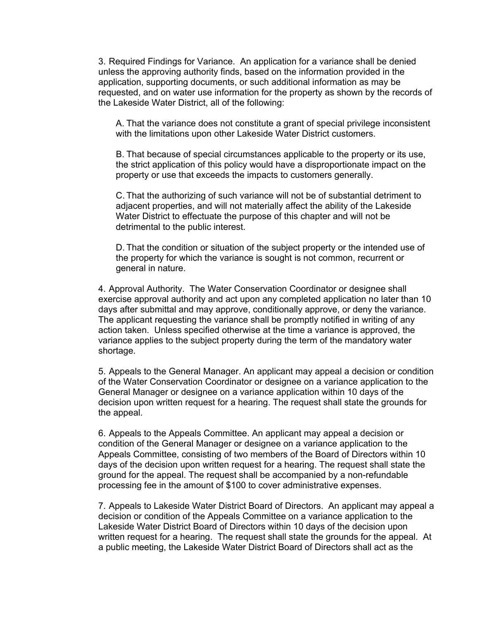3. Required Findings for Variance. An application for a variance shall be denied unless the approving authority finds, based on the information provided in the application, supporting documents, or such additional information as may be requested, and on water use information for the property as shown by the records of the Lakeside Water District, all of the following:

A. That the variance does not constitute a grant of special privilege inconsistent with the limitations upon other Lakeside Water District customers.

B. That because of special circumstances applicable to the property or its use, the strict application of this policy would have a disproportionate impact on the property or use that exceeds the impacts to customers generally.

C. That the authorizing of such variance will not be of substantial detriment to adjacent properties, and will not materially affect the ability of the Lakeside Water District to effectuate the purpose of this chapter and will not be detrimental to the public interest.

D. That the condition or situation of the subject property or the intended use of the property for which the variance is sought is not common, recurrent or general in nature.

4. Approval Authority. The Water Conservation Coordinator or designee shall exercise approval authority and act upon any completed application no later than 10 days after submittal and may approve, conditionally approve, or deny the variance. The applicant requesting the variance shall be promptly notified in writing of any action taken. Unless specified otherwise at the time a variance is approved, the variance applies to the subject property during the term of the mandatory water shortage.

5. Appeals to the General Manager. An applicant may appeal a decision or condition of the Water Conservation Coordinator or designee on a variance application to the General Manager or designee on a variance application within 10 days of the decision upon written request for a hearing. The request shall state the grounds for the appeal.

6. Appeals to the Appeals Committee. An applicant may appeal a decision or condition of the General Manager or designee on a variance application to the Appeals Committee, consisting of two members of the Board of Directors within 10 days of the decision upon written request for a hearing. The request shall state the ground for the appeal. The request shall be accompanied by a non-refundable processing fee in the amount of \$100 to cover administrative expenses.

7. Appeals to Lakeside Water District Board of Directors. An applicant may appeal a decision or condition of the Appeals Committee on a variance application to the Lakeside Water District Board of Directors within 10 days of the decision upon written request for a hearing. The request shall state the grounds for the appeal. At a public meeting, the Lakeside Water District Board of Directors shall act as the